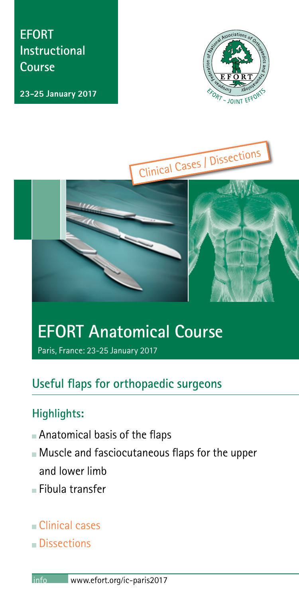**EFORT Instructional Course**

**23-25 January 2017**







# **EFORT Anatomical Course**

Paris, France: 23-25 January 2017

# **Useful flaps for orthopaedic surgeons**

# **Highlights:**

- Anatomical basis of the flaps
- Muscle and fasciocutaneous flaps for the upper and lower limb
- Fibula transfer
- Clinical cases
- **Dissections**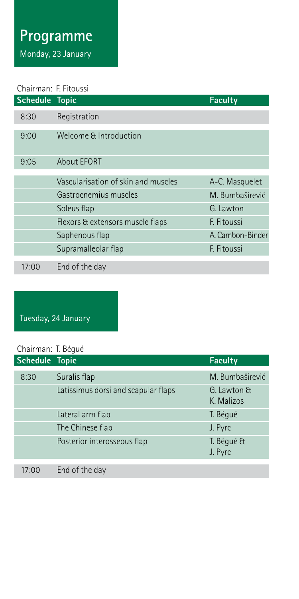# Programme

Monday, 23 January

## Chairman: F. Fitoussi

| Schedule Topic |                                     | <b>Faculty</b>   |
|----------------|-------------------------------------|------------------|
| 8:30           | Registration                        |                  |
| 9:00           | Welcome & Introduction              |                  |
| 9:05           | <b>About EFORT</b>                  |                  |
|                | Vascularisation of skin and muscles | A-C. Masquelet   |
|                |                                     |                  |
|                | Gastrocnemius muscles               | M. Bumbaširević  |
|                | Soleus flap                         | G. Lawton        |
|                | Flexors & extensors muscle flaps    | F. Fitoussi      |
|                | Saphenous flap                      | A. Cambon-Binder |
|                | Supramalleolar flap                 | F. Fitoussi      |
| 17:00          | End of the day                      |                  |

# Tuesday, 24 January

#### Chairman: T. Bégué

| Schedule Topic                      | <b>Faculty</b>            |
|-------------------------------------|---------------------------|
| Suralis flap                        | M. Bumbaširević           |
| Latissimus dorsi and scapular flaps | G. Lawton &<br>K. Malizos |
| Lateral arm flap                    | T. Bégué                  |
| The Chinese flap                    | J. Pyrc                   |
| Posterior interosseous flap         | T. Bégué &<br>J. Pyrc     |
|                                     |                           |
|                                     | End of the day            |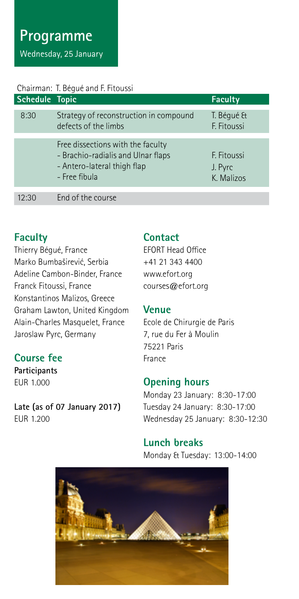# Programme Wednesday, 25 January

#### Chairman: T. Bégué and F. Fitoussi

| Schedule Topic |                                                                                                                         | <b>Faculty</b>                       |
|----------------|-------------------------------------------------------------------------------------------------------------------------|--------------------------------------|
| 8:30           | Strategy of reconstruction in compound<br>defects of the limbs                                                          | T. Bégué &<br>F. Fitoussi            |
|                | Free dissections with the faculty<br>- Brachio-radialis and Ulnar flaps<br>- Antero-lateral thigh flap<br>- Free fibula | F. Fitoussi<br>J. Pyrc<br>K. Malizos |
| 12.30          | End of the course                                                                                                       |                                      |

## **Faculty**

Thierry Bégué, France Marko Bumbaširević, Serbia Adeline Cambon-Binder, France Franck Fitoussi, France Konstantinos Malizos, Greece Graham Lawton, United Kingdom Alain-Charles Masquelet, France Jaroslaw Pyrc, Germany

## **Course fee**

**Participants** EUR 1.000

**Late (as of 07 January 2017) ELIR 1.200** 

### **Contact**

EFORT Head Office +41 21 343 4400 www.efort.org courses@efort.org

#### **Venue**

Ecole de Chirurgie de Paris 7, rue du Fer à Moulin 75221 Paris France

## **Opening hours**

Monday 23 January: 8:30-17:00 Tuesday 24 January: 8:30-17:00 Wednesday 25 January: 8:30-12:30

### **Lunch breaks**

Monday & Tuesday: 13:00-14:00